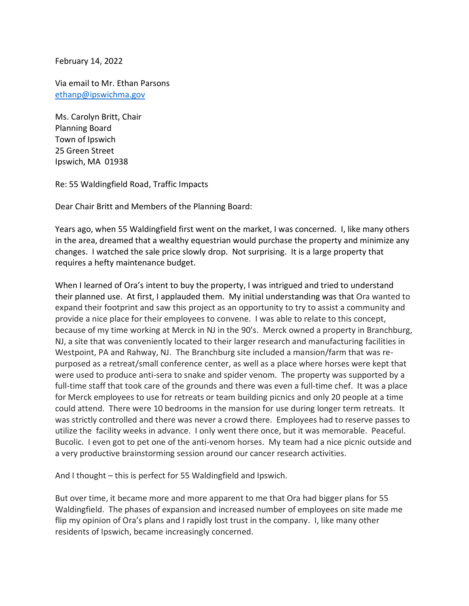February 14, 2022

Via email to Mr. Ethan Parsons [ethanp@ipswichma.gov](mailto:ethanp@ipswichma.gov)

Ms. Carolyn Britt, Chair Planning Board Town of Ipswich 25 Green Street Ipswich, MA 01938

Re: 55 Waldingfield Road, Traffic Impacts

Dear Chair Britt and Members of the Planning Board:

Years ago, when 55 Waldingfield first went on the market, I was concerned. I, like many others in the area, dreamed that a wealthy equestrian would purchase the property and minimize any changes. I watched the sale price slowly drop. Not surprising. It is a large property that requires a hefty maintenance budget.

When I learned of Ora's intent to buy the property, I was intrigued and tried to understand their planned use. At first, I applauded them. My initial understanding was that Ora wanted to expand their footprint and saw this project as an opportunity to try to assist a community and provide a nice place for their employees to convene. I was able to relate to this concept, because of my time working at Merck in NJ in the 90's. Merck owned a property in Branchburg, NJ, a site that was conveniently located to their larger research and manufacturing facilities in Westpoint, PA and Rahway, NJ. The Branchburg site included a mansion/farm that was repurposed as a retreat/small conference center, as well as a place where horses were kept that were used to produce anti-sera to snake and spider venom. The property was supported by a full-time staff that took care of the grounds and there was even a full-time chef. It was a place for Merck employees to use for retreats or team building picnics and only 20 people at a time could attend. There were 10 bedrooms in the mansion for use during longer term retreats. It was strictly controlled and there was never a crowd there. Employees had to reserve passes to utilize the facility weeks in advance. I only went there once, but it was memorable. Peaceful. Bucolic. I even got to pet one of the anti-venom horses. My team had a nice picnic outside and a very productive brainstorming session around our cancer research activities.

And I thought – this is perfect for 55 Waldingfield and Ipswich.

But over time, it became more and more apparent to me that Ora had bigger plans for 55 Waldingfield. The phases of expansion and increased number of employees on site made me flip my opinion of Ora's plans and I rapidly lost trust in the company. I, like many other residents of Ipswich, became increasingly concerned.